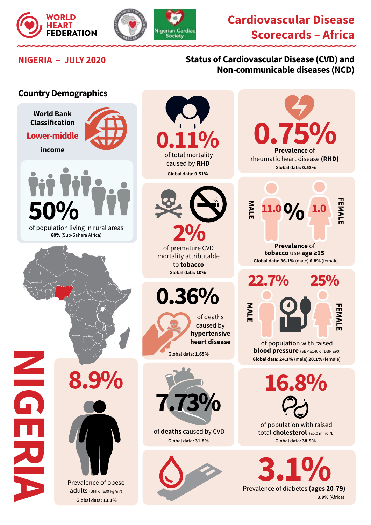





**Country Demographics**

## **NIGERIA – JULY 2020 Status of Cardiovascular Disease (CVD) and Non-communicable diseases (NCD)**

## **World Bank Classification**

**Lower-middle income**



 of population living in rural areas **60%** (Sub-Sahara Africa)

**8.9%**

**NIGERIA**

Prevalence of obese adults (BMI of ≥30 kg/m<sup>2</sup>) **Global data: 13.1%**

**0.11%** caused by **RHD**

Society

**Global data: 0.51%**



mortality attributable to **tobacco Global data: 10%** 

**0.36%**





of **deaths** caused by CVD **Global data: 31.8%**



0.75% **Prevalence** of rheumatic heart disease **(RHD) Global data: 0.53% FEMALE MALE FEMAL 11.0 9/0 1.0 Prevalence** of **tobacco** use **age ≥15 Global data: 36.1%** (male) **6.8%** (female) **22.7% 25% MALE** 

of population with raised **blood pressure** (SBP ≥140 or DBP ≥90) **Global data: 24.1%** (male) **20.1%** (female)

**16.8%**

of population with raised total **cholesterol** (≥5.0 mmol/L) **Global data: 38.9%**

**3.1% 3.9%** (Africa)